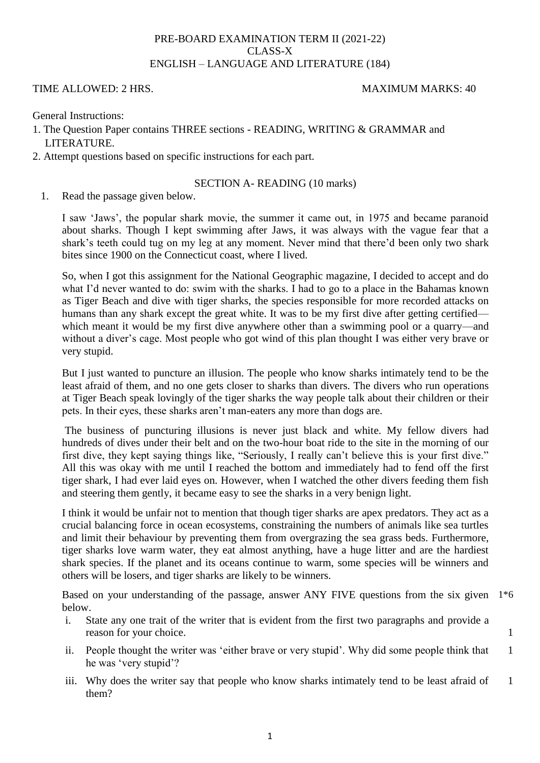# PRE-BOARD EXAMINATION TERM II (2021-22) CLASS-X ENGLISH – LANGUAGE AND LITERATURE (184)

### TIME ALLOWED: 2 HRS. MAXIMUM MARKS: 40

General Instructions:

- 1. The Question Paper contains THREE sections READING, WRITING & GRAMMAR and LITERATURE.
- 2. Attempt questions based on specific instructions for each part.

### SECTION A- READING (10 marks)

1. Read the passage given below.

I saw ‗Jaws', the popular shark movie, the summer it came out, in 1975 and became paranoid about sharks. Though I kept swimming after Jaws, it was always with the vague fear that a shark's teeth could tug on my leg at any moment. Never mind that there'd been only two shark bites since 1900 on the Connecticut coast, where I lived.

So, when I got this assignment for the National Geographic magazine, I decided to accept and do what I'd never wanted to do: swim with the sharks. I had to go to a place in the Bahamas known as Tiger Beach and dive with tiger sharks, the species responsible for more recorded attacks on humans than any shark except the great white. It was to be my first dive after getting certified which meant it would be my first dive anywhere other than a swimming pool or a quarry—and without a diver's cage. Most people who got wind of this plan thought I was either very brave or very stupid.

But I just wanted to puncture an illusion. The people who know sharks intimately tend to be the least afraid of them, and no one gets closer to sharks than divers. The divers who run operations at Tiger Beach speak lovingly of the tiger sharks the way people talk about their children or their pets. In their eyes, these sharks aren't man-eaters any more than dogs are.

The business of puncturing illusions is never just black and white. My fellow divers had hundreds of dives under their belt and on the two-hour boat ride to the site in the morning of our first dive, they kept saying things like, "Seriously, I really can't believe this is your first dive." All this was okay with me until I reached the bottom and immediately had to fend off the first tiger shark, I had ever laid eyes on. However, when I watched the other divers feeding them fish and steering them gently, it became easy to see the sharks in a very benign light.

I think it would be unfair not to mention that though tiger sharks are apex predators. They act as a crucial balancing force in ocean ecosystems, constraining the numbers of animals like sea turtles and limit their behaviour by preventing them from overgrazing the sea grass beds. Furthermore, tiger sharks love warm water, they eat almost anything, have a huge litter and are the hardiest shark species. If the planet and its oceans continue to warm, some species will be winners and others will be losers, and tiger sharks are likely to be winners.

Based on your understanding of the passage, answer ANY FIVE questions from the six given 1<sup>\*6</sup> below.

- i. State any one trait of the writer that is evident from the first two paragraphs and provide a reason for your choice.
- ii. People thought the writer was 'either brave or very stupid'. Why did some people think that he was 'very stupid'? 1
- iii. Why does the writer say that people who know sharks intimately tend to be least afraid of them? 1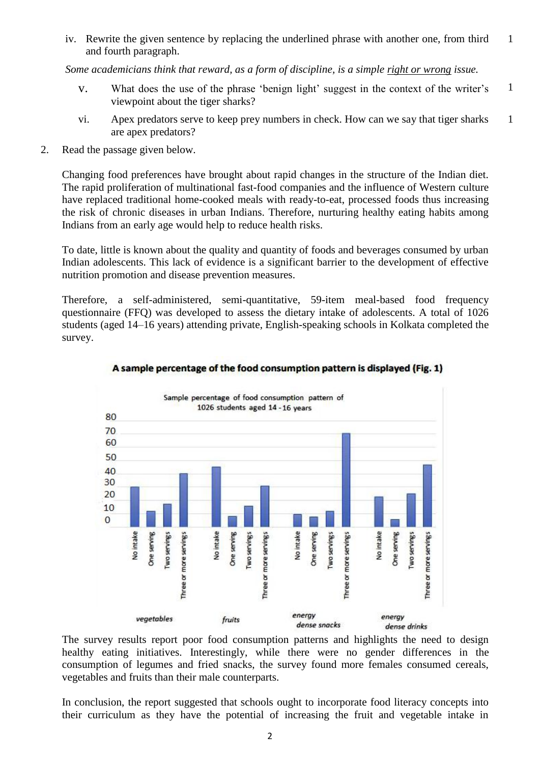iv. Rewrite the given sentence by replacing the underlined phrase with another one, from third and fourth paragraph. 1

*Some academicians think that reward, as a form of discipline, is a simple right or wrong issue.*

- v. What does the use of the phrase ‗benign light' suggest in the context of the writer's viewpoint about the tiger sharks? 1
- vi. Apex predators serve to keep prey numbers in check. How can we say that tiger sharks are apex predators? 1
- 2. Read the passage given below.

Changing food preferences have brought about rapid changes in the structure of the Indian diet. The rapid proliferation of multinational fast-food companies and the influence of Western culture have replaced traditional home-cooked meals with ready-to-eat, processed foods thus increasing the risk of chronic diseases in urban Indians. Therefore, nurturing healthy eating habits among Indians from an early age would help to reduce health risks.

To date, little is known about the quality and quantity of foods and beverages consumed by urban Indian adolescents. This lack of evidence is a significant barrier to the development of effective nutrition promotion and disease prevention measures.

Therefore, a self-administered, semi-quantitative, 59-item meal-based food frequency questionnaire (FFQ) was developed to assess the dietary intake of adolescents. A total of 1026 students (aged 14–16 years) attending private, English-speaking schools in Kolkata completed the survey.



# A sample percentage of the food consumption pattern is displayed (Fig. 1)

The survey results report poor food consumption patterns and highlights the need to design healthy eating initiatives. Interestingly, while there were no gender differences in the consumption of legumes and fried snacks, the survey found more females consumed cereals, vegetables and fruits than their male counterparts.

In conclusion, the report suggested that schools ought to incorporate food literacy concepts into their curriculum as they have the potential of increasing the fruit and vegetable intake in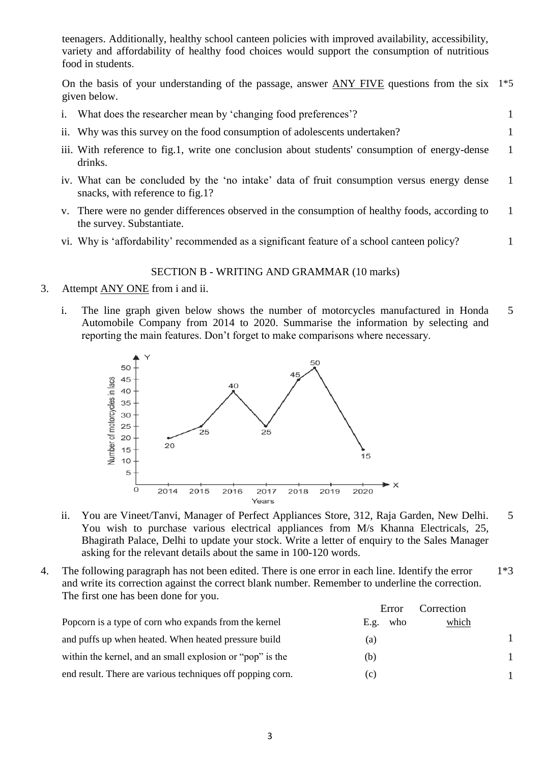teenagers. Additionally, healthy school canteen policies with improved availability, accessibility, variety and affordability of healthy food choices would support the consumption of nutritious food in students.

On the basis of your understanding of the passage, answer ANY FIVE questions from the six given below. 1\*5

- i. What does the researcher mean by 'changing food preferences'?
- ii. Why was this survey on the food consumption of adolescents undertaken? 1
- iii. With reference to fig.1, write one conclusion about students' consumption of energy-dense drinks. 1
- iv. What can be concluded by the 'no intake' data of fruit consumption versus energy dense snacks, with reference to fig.1? 1
- v. There were no gender differences observed in the consumption of healthy foods, according to the survey. Substantiate. 1
- vi. Why is 'affordability' recommended as a significant feature of a school canteen policy?

### SECTION B - WRITING AND GRAMMAR (10 marks)

- 3. Attempt ANY ONE from i and ii.
	- i. The line graph given below shows the number of motorcycles manufactured in Honda Automobile Company from 2014 to 2020. Summarise the information by selecting and reporting the main features. Don't forget to make comparisons where necessary. 5



- ii. You are Vineet/Tanvi, Manager of Perfect Appliances Store, 312, Raja Garden, New Delhi. You wish to purchase various electrical appliances from M/s Khanna Electricals, 25, Bhagirath Palace, Delhi to update your stock. Write a letter of enquiry to the Sales Manager asking for the relevant details about the same in 100-120 words. 5
- 4. The following paragraph has not been edited. There is one error in each line. Identify the error and write its correction against the correct blank number. Remember to underline the correction. The first one has been done for you. 1\*3

|                                                            | Error       | Correction |  |
|------------------------------------------------------------|-------------|------------|--|
| Popcorn is a type of corn who expands from the kernel      | who<br>E.g. | which      |  |
| and puffs up when heated. When heated pressure build       | (a)         |            |  |
| within the kernel, and an small explosion or "pop" is the  | (b)         |            |  |
| end result. There are various techniques off popping corn. | (C)         |            |  |